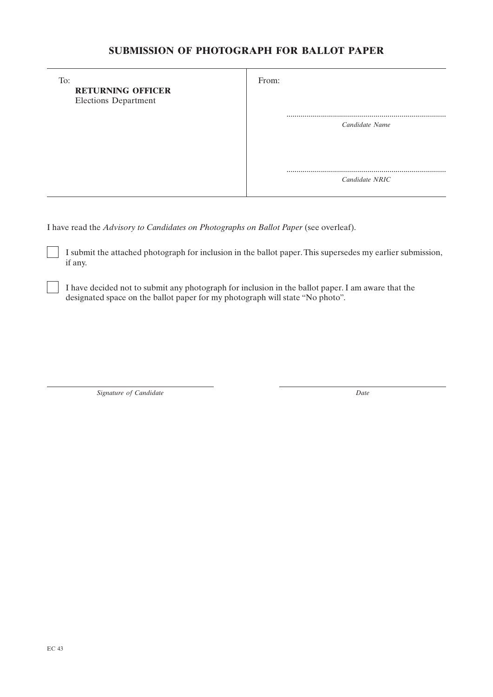## **SUBMISSION OF PHOTOGRAPH FOR BALLOT PAPER**

| To:<br><b>RETURNING OFFICER</b><br><b>Elections Department</b> | From:              |
|----------------------------------------------------------------|--------------------|
|                                                                | <br>Candidate Name |
|                                                                | <br>Candidate NRIC |

I have read the *Advisory to Candidates on Photographs on Ballot Paper* (see overleaf).

I submit the attached photograph for inclusion in the ballot paper. This supersedes my earlier submission, if any.

I have decided not to submit any photograph for inclusion in the ballot paper. I am aware that the designated space on the ballot paper for my photograph will state "No photo".

*Signature of Candidate Date*